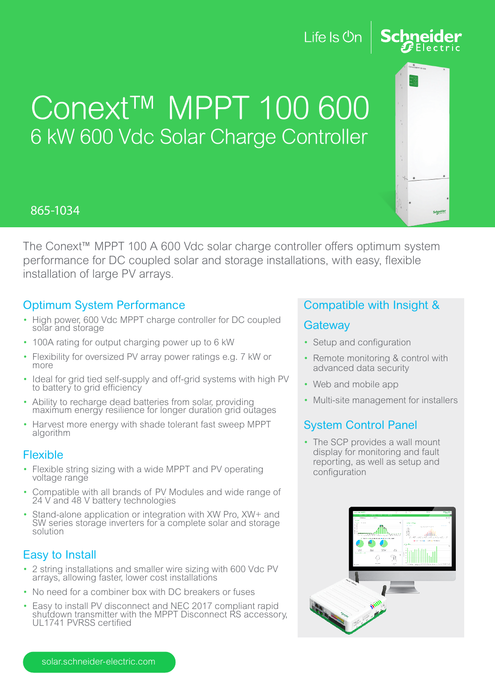## Life Is **Un**



## Conext™ MPPT 100 600 6 kW 600 Vdc Solar Charge Controller

## 865-1034

The Conext™ MPPT 100 A 600 Vdc solar charge controller offers optimum system performance for DC coupled solar and storage installations, with easy, flexible installation of large PV arrays.

### Optimum System Performance

- High power, 600 Vdc MPPT charge controller for DC coupled solar and storage
- 100A rating for output charging power up to 6 kW
- Flexibility for oversized PV array power ratings e.g. 7 kW or more
- Ideal for grid tied self-supply and off-grid systems with high PV to battery to grid efficiency
- Ability to recharge dead batteries from solar, providing maximum energy resilience for longer duration grid outages
- Harvest more energy with shade tolerant fast sweep MPPT algorithm

#### Flexible

- Flexible string sizing with a wide MPPT and PV operating voltage range
- Compatible with all brands of PV Modules and wide range of 24 V and 48 V battery technologies
- Stand-alone application or integration with XW Pro, XW+ and SW series storage inverters for a complete solar and storage solution

## Easy to Install

- 2 string installations and smaller wire sizing with 600 Vdc PV arrays, allowing faster, lower cost installations
- No need for a combiner box with DC breakers or fuses
- Easy to install PV disconnect and NEC 2017 compliant rapid shutdown transmitter with the MPPT Disconnect RS accessory, UL1741 PVRSS certified

## Compatible with Insight &

#### **Gateway**

- Setup and configuration
- Remote monitoring & control with advanced data security
- Web and mobile app
- Multi-site management for installers

## System Control Panel

• The SCP provides a wall mount display for monitoring and fault reporting, as well as setup and configuration